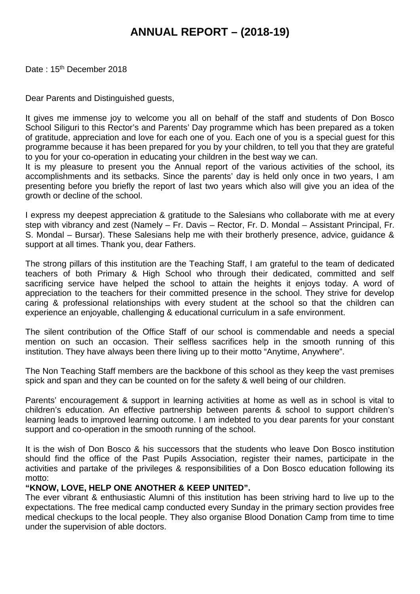# **ANNUAL REPORT – (2018-19)**

Date: 15<sup>th</sup> December 2018

Dear Parents and Distinguished guests,

It gives me immense joy to welcome you all on behalf of the staff and students of Don Bosco School Siliguri to this Rector's and Parents' Day programme which has been prepared as a token of gratitude, appreciation and love for each one of you. Each one of you is a special guest for this programme because it has been prepared for you by your children, to tell you that they are grateful to you for your co-operation in educating your children in the best way we can.

It is my pleasure to present you the Annual report of the various activities of the school, its accomplishments and its setbacks. Since the parents' day is held only once in two years, I am presenting before you briefly the report of last two years which also will give you an idea of the growth or decline of the school.

I express my deepest appreciation & gratitude to the Salesians who collaborate with me at every step with vibrancy and zest (Namely – Fr. Davis – Rector, Fr. D. Mondal – Assistant Principal, Fr. S. Mondal – Bursar). These Salesians help me with their brotherly presence, advice, guidance & support at all times. Thank you, dear Fathers.

The strong pillars of this institution are the Teaching Staff, I am grateful to the team of dedicated teachers of both Primary & High School who through their dedicated, committed and self sacrificing service have helped the school to attain the heights it enjoys today. A word of appreciation to the teachers for their committed presence in the school. They strive for develop caring & professional relationships with every student at the school so that the children can experience an enjoyable, challenging & educational curriculum in a safe environment.

The silent contribution of the Office Staff of our school is commendable and needs a special mention on such an occasion. Their selfless sacrifices help in the smooth running of this institution. They have always been there living up to their motto "Anytime, Anywhere".

The Non Teaching Staff members are the backbone of this school as they keep the vast premises spick and span and they can be counted on for the safety & well being of our children.

Parents' encouragement & support in learning activities at home as well as in school is vital to children's education. An effective partnership between parents & school to support children's learning leads to improved learning outcome. I am indebted to you dear parents for your constant support and co-operation in the smooth running of the school.

It is the wish of Don Bosco & his successors that the students who leave Don Bosco institution should find the office of the Past Pupils Association, register their names, participate in the activities and partake of the privileges & responsibilities of a Don Bosco education following its motto:

#### **"KNOW, LOVE, HELP ONE ANOTHER & KEEP UNITED".**

The ever vibrant & enthusiastic Alumni of this institution has been striving hard to live up to the expectations. The free medical camp conducted every Sunday in the primary section provides free medical checkups to the local people. They also organise Blood Donation Camp from time to time under the supervision of able doctors.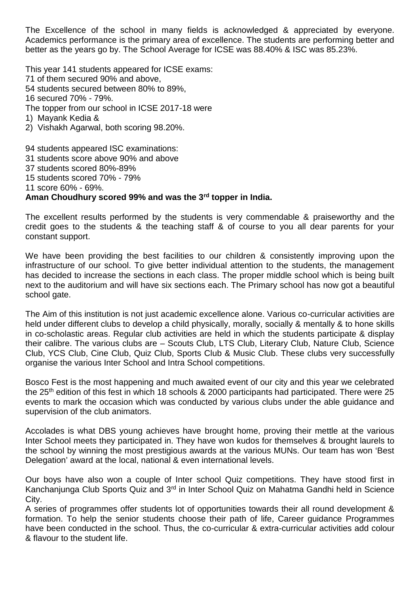The Excellence of the school in many fields is acknowledged & appreciated by everyone. Academics performance is the primary area of excellence. The students are performing better and better as the years go by. The School Average for ICSE was 88.40% & ISC was 85.23%.

This year 141 students appeared for ICSE exams:

71 of them secured 90% and above,

54 students secured between 80% to 89%,

16 secured 70% - 79%.

The topper from our school in ICSE 2017-18 were

1) Mayank Kedia &

2) Vishakh Agarwal, both scoring 98.20%.

94 students appeared ISC examinations:

31 students score above 90% and above

37 students scored 80%-89%

15 students scored 70% - 79%

11 score 60% - 69%.

# **Aman Choudhury scored 99% and was the 3rd topper in India.**

The excellent results performed by the students is very commendable & praiseworthy and the credit goes to the students & the teaching staff & of course to you all dear parents for your constant support.

We have been providing the best facilities to our children & consistently improving upon the infrastructure of our school. To give better individual attention to the students, the management has decided to increase the sections in each class. The proper middle school which is being built next to the auditorium andwill have six sections each. The Primary school has now got a beautiful school gate.

The Aim of this institution is not just academic excellence alone. Various co-curricular activities are held under different clubs to develop a child physically, morally, socially & mentally & to hone skills in co-scholastic areas. Regular club activities are held in which the students participate & display their calibre. The various clubs are – Scouts Club, LTS Club, Literary Club, Nature Club, Science Club, YCS Club, Cine Club, Quiz Club, Sports Club & Music Club. These clubs very successfully organise the various Inter School and Intra School competitions.

Bosco Fest is the most happening and much awaited event of our city and this year we celebrated the 25<sup>th</sup> edition of this fest in which 18 schools & 2000 participants had participated. There were 25 events to mark the occasion which was conducted by various clubs under the able guidance and supervision of the club animators.

Accolades is what DBS young achieves have brought home, proving their mettle at the various Inter School meets they participated in. They have won kudos for themselves & brought laurels to the school by winning the most prestigious awards at the various MUNs. Our team has won 'Best Delegation' award at the local, national & even international levels.

Our boys have also won a couple of Inter school Quiz competitions. They have stood first in Kanchanjunga Club Sports Quiz and 3<sup>rd</sup> in Inter School Quiz on Mahatma Gandhi held in Science City.

A series of programmes offer students lot of opportunities towards their all round development & formation. To help the senior students choose their path of life, Career guidance Programmes have been conducted in the school. Thus, the co-curricular & extra-curricular activities add colour & flavour to the student life.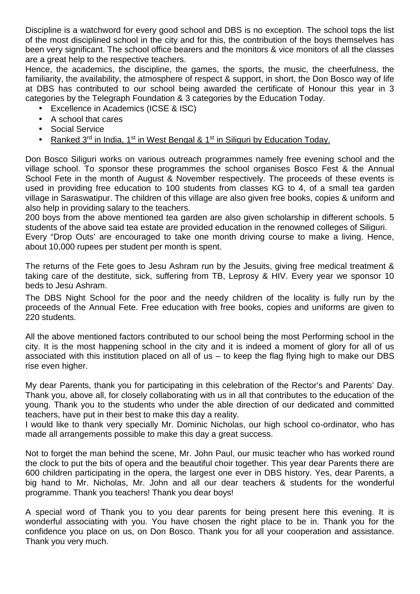Discipline is a watchword for every good school and DBS is no exception. The school tops the list of the most disciplined school in the city and for this, the contribution of the boys themselves has been very significant. The school office bearers and the monitors & vice monitors of all the classes are a great help to the respective teachers.

Hence, the academics, the discipline, the games, the sports, the music, the cheerfulness, the familiarity, the availability, the atmosphere of respect & support, in short, the Don Bosco way of life at DBS has contributed to our school being awarded the certificate of Honour this year in 3 categories by the Telegraph Foundation & 3 categories by the Education Today.

- Excellence in Academics (ICSE & ISC)
- A school that cares
- Social Service
- Ranked 3<sup>rd</sup> in India, 1<sup>st</sup> in West Bengal & 1<sup>st</sup> in Siliguri by Education Today.

Don Bosco Siliguri works on various outreach programmes namely free evening school and the village school. To sponsor these programmes the school organises Bosco Fest & the Annual School Fete in the month of August & November respectively. The proceeds of these events is used in providing free education to 100 students from classes KG to 4, of a small tea garden village in Saraswatipur. The children of this village are also given free books, copies & uniform and also help in providing salary to the teachers.

200 boys from the above mentioned tea garden are also given scholarship in different schools. 5 students of the above said tea estate are provided education in the renowned colleges of Siliguri.

Every "Drop Outs' are encouraged to take one month driving course to make a living. Hence, about 10,000 rupees per student per month is spent.

The returns of the Fete goes to Jesu Ashram run by the Jesuits, giving free medical treatment & taking care of the destitute, sick, suffering from TB, Leprosy & HIV. Every year we sponsor 10 beds to Jesu Ashram.

The DBS Night School for the poor and the needy children of the locality is fully run by the proceeds of the Annual Fete. Free education with free books, copies and uniforms are given to 220 students.

All the above mentioned factors contributed to our school being the most Performing school in the city. It is the most happening school in the city and it is indeed a moment of glory for all of us associated with this institution placed on all of us  $-$  to keep the flag flying high to make our DBS rise even higher.

My dear Parents, thank you for participating in this celebration of the Rector's and Parents' Day. Thank you, above all, for closely collaborating with us in all that contributes to the education of the young. Thank you to the students who under the able direction of our dedicated and committed teachers, have put in their best to make this day a reality.

I would like to thank very specially Mr. Dominic Nicholas, our high school co-ordinator, who has made all arrangements possible to make this day a great success.

Not to forget the man behind the scene, Mr. John Paul, our music teacher who has worked round the clock to put the bits of opera and the beautiful choir together. This year dear Parents there are 600 children participating in the opera, the largest one ever in DBS history. Yes, dear Parents, a big hand to Mr. Nicholas, Mr. John and all our dear teachers & students for the wonderful programme. Thank you teachers! Thank you dear boys!

A special word of Thank you to you dear parents for being present here this evening. It is wonderful associating with you. You have chosen the right place to be in. Thank you for the confidence you place on us, on Don Bosco. Thank you for all your cooperation and assistance. Thank you very much.